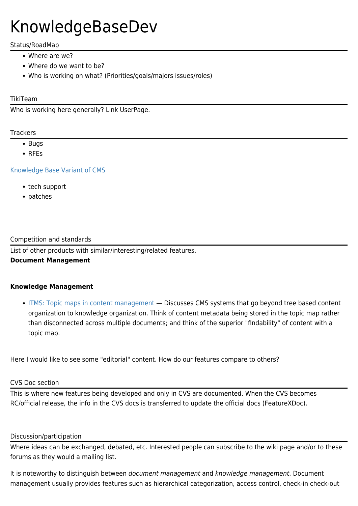# KnowledgeBaseDev

## Status/RoadMap

- Where are we?
- Where do we want to be?
- Who is working on what? (Priorities/goals/majors issues/roles)

## TikiTeam

Who is working here generally? Link UserPage.

#### **Trackers**

- Bugs
- RFEs

[Knowledge Base Variant of CMS](https://sourceforge.net/tracker/?group_id=64258&atid=506849&func=detail&aid=756012)

- tech support
- patches

#### Competition and standards

List of other products with similar/interesting/related features.

## **Document Management**

## **Knowledge Management**

[ITMS: Topic maps in content management](http://www.ontopia.net/topicmaps/materials/itms.html) — Discusses CMS systems that go beyond tree based content organization to knowledge organization. Think of content metadata being stored in the topic map rather than disconnected across multiple documents; and think of the superior "findability" of content with a topic map.

Here I would like to see some "editorial" content. How do our features compare to others?

#### CVS Doc section

This is where new features being developed and only in CVS are documented. When the CVS becomes RC/official release, the info in the CVS docs is transferred to update the official docs (FeatureXDoc).

#### Discussion/participation

Where ideas can be exchanged, debated, etc. Interested people can subscribe to the wiki page and/or to these forums as they would a mailing list.

It is noteworthy to distinguish between document management and knowledge management. Document management usually provides features such as hierarchical categorization, access control, check-in check-out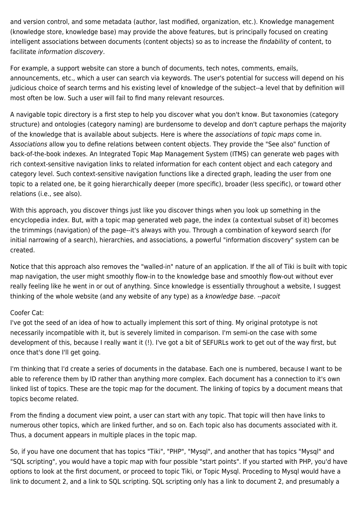and version control, and some metadata (author, last modified, organization, etc.). Knowledge management (knowledge store, knowledge base) may provide the above features, but is principally focused on creating intelligent associations between documents (content objects) so as to increase the findability of content, to facilitate information discovery.

For example, a support website can store a bunch of documents, tech notes, comments, emails, announcements, etc., which a user can search via keywords. The user's potential for success will depend on his judicious choice of search terms and his existing level of knowledge of the subject--a level that by definition will most often be low. Such a user will fail to find many relevant resources.

A navigable topic directory is a first step to help you discover what you don't know. But taxonomies (category structure) and ontologies (category naming) are burdensome to develop and don't capture perhaps the majority of the knowledge that is available about subjects. Here is where the associations of topic maps come in. Associations allow you to define relations between content objects. They provide the "See also" function of back-of-the-book indexes. An Integrated Topic Map Management System (ITMS) can generate web pages with rich context-sensitive navigation links to related information for each content object and each category and category level. Such context-sensitive navigation functions like a directed graph, leading the user from one topic to a related one, be it going hierarchically deeper (more specific), broader (less specific), or toward other relations (i.e., see also).

With this approach, you discover things just like you discover things when you look up something in the encyclopedia index. But, with a topic map generated web page, the index (a contextual subset of it) becomes the trimmings (navigation) of the page--it's always with you. Through a combination of keyword search (for initial narrowing of a search), hierarchies, and associations, a powerful "information discovery" system can be created.

Notice that this approach also removes the "walled-in" nature of an application. If the all of Tiki is built with topic map navigation, the user might smoothly flow-in to the knowledge base and smoothly flow-out without ever really feeling like he went in or out of anything. Since knowledge is essentially throughout a website, I suggest thinking of the whole website (and any website of any type) as a knowledge base. --pacoit

# Coofer Cat:

I've got the seed of an idea of how to actually implement this sort of thing. My original prototype is not necessarily incompatible with it, but is severely limited in comparison. I'm semi-on the case with some development of this, because I really want it (!). I've got a bit of SEFURLs work to get out of the way first, but once that's done I'll get going.

I'm thinking that I'd create a series of documents in the database. Each one is numbered, because I want to be able to reference them by ID rather than anything more complex. Each document has a connection to it's own linked list of topics. These are the topic map for the document. The linking of topics by a document means that topics become related.

From the finding a document view point, a user can start with any topic. That topic will then have links to numerous other topics, which are linked further, and so on. Each topic also has documents associated with it. Thus, a document appears in multiple places in the topic map.

So, if you have one document that has topics "Tiki", "PHP", "Mysql", and another that has topics "Mysql" and "SQL scripting", you would have a topic map with four possible "start points". If you started with PHP, you'd have options to look at the first document, or proceed to topic Tiki, or Topic Mysql. Proceding to Mysql would have a link to document 2, and a link to SQL scripting. SQL scripting only has a link to document 2, and presumably a